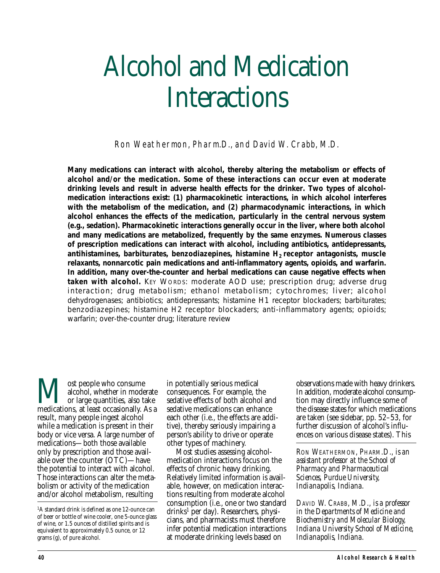# Alcohol and Medication **Interactions**

Ron Weathermon, Pharm.D., and David W. Crabb, M.D.

*Many medications can interact with alcohol, thereby altering the metabolism or effects of alcohol and/or the medication. Some of these interactions can occur even at moderate drinking levels and result in adverse health effects for the drinker. Two types of alcoholmedication interactions exist: (1) pharmacokinetic interactions, in which alcohol interferes with the metabolism of the medication, and (2) pharmacodynamic interactions, in which alcohol enhances the effects of the medication, particularly in the central nervous system (e.g., sedation). Pharmacokinetic interactions generally occur in the liver, where both alcohol and many medications are metabolized, frequently by the same enzymes. Numerous classes of prescription medications can interact with alcohol, including antibiotics, antidepressants, antihistamines, barbiturates, benzodiazepines, histamine H2 receptor antagonists, muscle relaxants, nonnarcotic pain medications and anti-inflammatory agents, opioids, and warfarin. In addition, many over-the-counter and herbal medications can cause negative effects when taken with alcohol. KEY WORDS: moderate AOD use; prescription drug; adverse drug interaction; drug metabolism; ethanol metabolism; cytochromes; liver; alcohol dehydrogenases; antibiotics; antidepressants; histamine H1 receptor blockaders; barbiturates; benzodiazepines; histamine H2 receptor blockaders; anti-inflammatory agents; opioids; warfarin; over-the-counter drug; literature review*

**M** ost people who consume<br>alcohol, whether in moderate<br>medications, at least occasionally. As a alcohol, whether in moderate or large quantities, also take result, many people ingest alcohol while a medication is present in their body or vice versa. A large number of medications—both those available only by prescription and those available over the counter (OTC)—have the potential to interact with alcohol. Those interactions can alter the metabolism or activity of the medication and/or alcohol metabolism, resulting

in potentially serious medical consequences. For example, the sedative effects of both alcohol and sedative medications can enhance each other (i.e., the effects are additive), thereby seriously impairing a person's ability to drive or operate other types of machinery.

Most studies assessing alcoholmedication interactions focus on the effects of chronic heavy drinking. Relatively limited information is available, however, on medication interactions resulting from moderate alcohol consumption (i.e., one or two standard  $drinks<sup>1</sup>$  per day). Researchers, physicians, and pharmacists must therefore infer potential medication interactions at moderate drinking levels based on

observations made with heavy drinkers. In addition, moderate alcohol consumption may directly influence some of the disease states for which medications are taken (see sidebar, pp. 52–53, for further discussion of alcohol's influences on various disease states). This

*RON WEATHERMON, PHARM.D., is an assistant professor at the School of Pharmacy and Pharmaceutical Sciences, Purdue University, Indianapolis, Indiana.*

*DAVID W. CRABB, M.D., is a professor in the Departments of Medicine and Biochemistry and Molecular Biology, Indiana University School of Medicine, Indianapolis, Indiana.*

<sup>1</sup> A standard drink is defined as one 12-ounce can of beer or bottle of wine cooler, one 5-ounce glass of wine, or 1.5 ounces of distilled spirits and is equivalent to approximately 0.5 ounce, or 12 grams (g), of pure alcohol.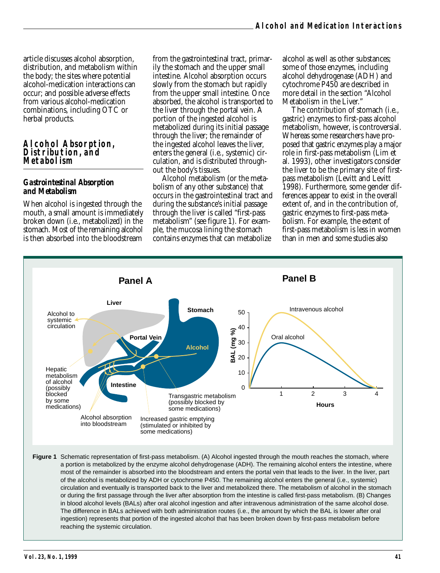article discusses alcohol absorption, distribution, and metabolism within the body; the sites where potential alcohol-medication interactions can occur; and possible adverse effects from various alcohol-medication combinations, including OTC or herbal products.

#### **Alcohol Absorption, Distribution, and Metabolism**

#### *Gastrointestinal Absorption and Metabolism*

When alcohol is ingested through the mouth, a small amount is immediately broken down (i.e., metabolized) in the stomach. Most of the remaining alcohol is then absorbed into the bloodstream

from the gastrointestinal tract, primarily the stomach and the upper small intestine. Alcohol absorption occurs slowly from the stomach but rapidly from the upper small intestine. Once absorbed, the alcohol is transported to the liver through the portal vein. A portion of the ingested alcohol is metabolized during its initial passage through the liver; the remainder of the ingested alcohol leaves the liver, enters the general (i.e., systemic) circulation, and is distributed throughout the body's tissues.

Alcohol metabolism (or the metabolism of any other substance) that occurs in the gastrointestinal tract and during the substance's initial passage through the liver is called "first-pass metabolism" (see figure 1). For example, the mucosa lining the stomach contains enzymes that can metabolize

alcohol as well as other substances; some of those enzymes, including alcohol dehydrogenase (ADH) and cytochrome P450 are described in more detail in the section "Alcohol Metabolism in the Liver."

The contribution of stomach (i.e., gastric) enzymes to first-pass alcohol metabolism, however, is controversial. Whereas some researchers have proposed that gastric enzymes play a major role in first-pass metabolism (Lim et al. 1993), other investigators consider the liver to be the primary site of firstpass metabolism (Levitt and Levitt 1998). Furthermore, some gender differences appear to exist in the overall extent of, and in the contribution of, gastric enzymes to first-pass metabolism. For example, the extent of first-pass metabolism is less in women than in men and some studies also



**Figure 1** Schematic representation of first-pass metabolism. (A) Alcohol ingested through the mouth reaches the stomach, where a portion is metabolized by the enzyme alcohol dehydrogenase (ADH). The remaining alcohol enters the intestine, where most of the remainder is absorbed into the bloodstream and enters the portal vein that leads to the liver. In the liver, part of the alcohol is metabolized by ADH or cytochrome P450. The remaining alcohol enters the general (i.e., systemic) circulation and eventually is transported back to the liver and metabolized there. The metabolism of alcohol in the stomach or during the first passage through the liver after absorption from the intestine is called first-pass metabolism. (B) Changes in blood alcohol levels (BALs) after oral alcohol ingestion and after intravenous administration of the same alcohol dose. The difference in BALs achieved with both administration routes (i.e., the amount by which the BAL is lower after oral ingestion) represents that portion of the ingested alcohol that has been broken down by first-pass metabolism before reaching the systemic circulation.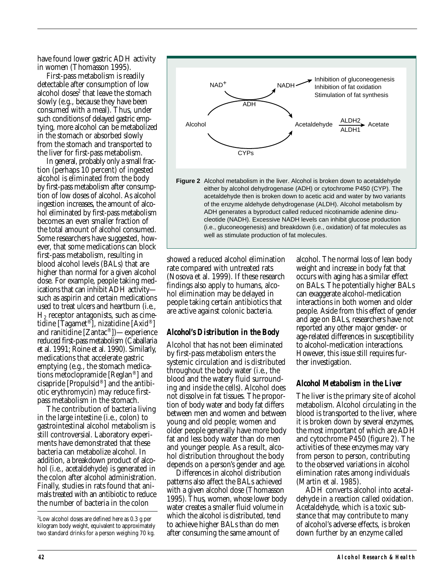have found lower gastric ADH activity in women (Thomasson 1995).

First-pass metabolism is readily detectable after consumption of low alcohol doses<sup>2</sup> that leave the stomach slowly (e.g., because they have been consumed with a meal). Thus, under such conditions of delayed gastric emptying, more alcohol can be metabolized in the stomach or absorbed slowly from the stomach and transported to the liver for first-pass metabolism.

In general, probably only a small fraction (perhaps 10 percent) of ingested alcohol is eliminated from the body by first-pass metabolism after consumption of low doses of alcohol. As alcohol ingestion increases, the amount of alcohol eliminated by first-pass metabolism becomes an even smaller fraction of the total amount of alcohol consumed. Some researchers have suggested, however, that some medications can block first-pass metabolism, resulting in blood alcohol levels (BALs) that are higher than normal for a given alcohol dose. For example, people taking medications that can inhibit ADH activity such as aspirin and certain medications used to treat ulcers and heartburn (i.e.,  $H<sub>2</sub>$  receptor antagonists, such as cimetidine [Tagamet®], nizatidine [Axid®] and ranitidine [Zantac®])—experience reduced first-pass metabolism (Caballaria et al. 1991; Roine et al. 1990). Similarly, medications that accelerate gastric emptying (e.g., the stomach medications metoclopramide [Reglan®] and cisapride [Propulsid®] and the antibiotic erythromycin) may reduce firstpass metabolism in the stomach.

The contribution of bacteria living in the large intestine (i.e., colon) to gastrointestinal alcohol metabolism is still controversial. Laboratory experiments have demonstrated that these bacteria can metabolize alcohol*.* In addition, a breakdown product of alcohol (i.e., acetaldehyde) is generated in the colon after alcohol administration. Finally, studies in rats found that animals treated with an antibiotic to reduce the number of bacteria in the colon



showed a reduced alcohol elimination rate compared with untreated rats (Nosova et al. 1999). If these research findings also apply to humans, alcohol elimination may be delayed in people taking certain antibiotics that are active against colonic bacteria.

#### *Alcohol's Distribution in the Body*

Alcohol that has not been eliminated by first-pass metabolism enters the systemic circulation and is distributed throughout the body water (i.e., the blood and the watery fluid surrounding and inside the cells). Alcohol does not dissolve in fat tissues. The proportion of body water and body fat differs between men and women and between young and old people; women and older people generally have more body fat and less body water than do men and younger people. As a result, alcohol distribution throughout the body depends on a person's gender and age.

Differences in alcohol distribution patterns also affect the BALs achieved with a given alcohol dose (Thomasson 1995). Thus, women, whose lower body water creates a smaller fluid volume in which the alcohol is distributed, tend to achieve higher BALs than do men after consuming the same amount of

alcohol. The normal loss of lean body weight and increase in body fat that occurs with aging has a similar effect on BALs. The potentially higher BALs can exaggerate alcohol-medication interactions in both women and older people. Aside from this effect of gender and age on BALs, researchers have not reported any other major gender- or age-related differences in susceptibility to alcohol-medication interactions. However, this issue still requires further investigation.

#### *Alcohol Metabolism in the Liver*

The liver is the primary site of alcohol metabolism. Alcohol circulating in the blood is transported to the liver, where it is broken down by several enzymes, the most important of which are ADH and cytochrome P450 (figure 2). The activities of these enzymes may vary from person to person, contributing to the observed variations in alcohol elimination rates among individuals (Martin et al. 1985).

ADH converts alcohol into acetaldehyde in a reaction called oxidation. Acetaldehyde, which is a toxic substance that may contribute to many of alcohol's adverse effects, is broken down further by an enzyme called

<sup>2</sup> Low alcohol doses are defined here as 0.3 g per kilogram body weight, equivalent to approximately two standard drinks for a person weighing 70 kg.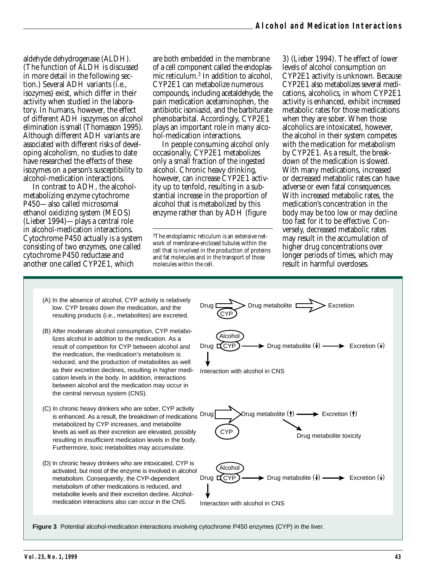aldehyde dehydrogenase (ALDH). (The function of ALDH is discussed in more detail in the following section.) Several ADH variants (i.e., isozymes) exist, which differ in their activity when studied in the laboratory. In humans, however, the effect of different ADH isozymes on alcohol elimination is small (Thomasson 1995). Although different ADH variants are associated with different risks of developing alcoholism, no studies to date have researched the effects of these isozymes on a person's susceptibility to alcohol-medication interactions.

In contrast to ADH, the alcoholmetabolizing enzyme cytochrome P450—also called microsomal ethanol oxidizing system (MEOS) (Lieber 1994)—plays a central role in alcohol-medication interactions. Cytochrome P450 actually is a system consisting of two enzymes, one called cytochrome P450 reductase and another one called CYP2E1, which

are both embedded in the membrane of a cell component called the endoplasmic reticulum.3 In addition to alcohol, CYP2E1 can metabolize numerous compounds, including acetaldehyde, the pain medication acetaminophen, the antibiotic isoniazid, and the barbiturate phenobarbital. Accordingly, CYP2E1 plays an important role in many alcohol-medication interactions.

In people consuming alcohol only occasionally, CYP2E1 metabolizes only a small fraction of the ingested alcohol. Chronic heavy drinking, however, can increase CYP2E1 activity up to tenfold, resulting in a substantial increase in the proportion of alcohol that is metabolized by this enzyme rather than by ADH (figure

<sup>3</sup>The endoplasmic reticulum is an extensive network of membrane-enclosed tubules within the cell that is involved in the production of proteins and fat molecules and in the transport of those molecules within the cell.

3) (Lieber 1994). The effect of lower levels of alcohol consumption on CYP2E1 activity is unknown. Because CYP2E1 also metabolizes several medications, alcoholics, in whom CYP2E1 activity is enhanced, exhibit increased metabolic rates for those medications when they are sober. When those alcoholics are intoxicated, however, the alcohol in their system competes with the medication for metabolism by CYP2E1. As a result, the breakdown of the medication is slowed. With many medications, increased or decreased metabolic rates can have adverse or even fatal consequences. With increased metabolic rates, the medication's concentration in the body may be too low or may decline too fast for it to be effective. Conversely, decreased metabolic rates may result in the accumulation of higher drug concentrations over longer periods of times, which may result in harmful overdoses.

- (A) In the absence of alcohol, CYP activity is relatively low. CYP breaks down the medication, and the resulting products (i.e., metabolites) are excreted.
- (B) After moderate alcohol consumption, CYP metabolizes alcohol in addition to the medication. As a result of competition for CYP between alcohol and the medication, the medication's metabolism is reduced, and the production of metabolites as well as their excretion declines, resulting in higher medication levels in the body. In addition, interactions between alcohol and the medication may occur in the central nervous system (CNS).
- (C) In chronic heavy drinkers who are sober, CYP activity is enhanced. As a result, the breakdown of medications Drug metabolized by CYP increases, and metabolite levels as well as their excretion are elevated, possibly resulting in insufficient medication levels in the body. Furthermore, toxic metabolites may accumulate.
- (D) In chronic heavy drinkers who are intoxicated, CYP is activated, but most of the enzyme is involved in alcohol metabolism. Consequently, the CYP-dependent metabolism of other medications is reduced, and metabolite levels and their excretion decline. Alcoholmedication interactions also can occur in the CNS.



**Figure 3** Potential alcohol-medication interactions involving cytochrome P450 enzymes (CYP) in the liver.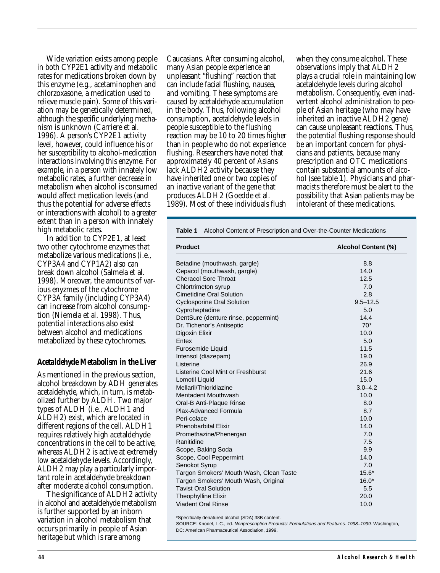Wide variation exists among people in both CYP2E1 activity and metabolic rates for medications broken down by this enzyme (e.g., acetaminophen and chlorzoxasone, a medication used to relieve muscle pain). Some of this variation may be genetically determined, although the specific underlying mechanism is unknown (Carriere et al. 1996). A person's CYP2E1 activity level, however, could influence his or her susceptibility to alcohol-medication interactions involving this enzyme. For example, in a person with innately low metabolic rates, a further decrease in metabolism when alcohol is consumed would affect medication levels (and thus the potential for adverse effects or interactions with alcohol) to a greater extent than in a person with innately high metabolic rates.

In addition to CYP2E1, at least two other cytochrome enzymes that metabolize various medications (i.e., CYP3A4 and CYP1A2) also can break down alcohol (Salmela et al. 1998). Moreover, the amounts of various enyzmes of the cytochrome CYP3A family (including CYP3A4) can increase from alcohol consumption (Niemela et al. 1998). Thus, potential interactions also exist between alcohol and medications metabolized by these cytochromes.

#### *Acetaldehyde Metabolism in the Liver*

As mentioned in the previous section, alcohol breakdown by ADH generates acetaldehyde, which, in turn, is metabolized further by ALDH. Two major types of ALDH (i.e., ALDH1 and ALDH2) exist, which are located in different regions of the cell. ALDH1 requires relatively high acetaldehyde concentrations in the cell to be active, whereas ALDH2 is active at extremely low acetaldehyde levels. Accordingly, ALDH2 may play a particularly important role in acetaldehyde breakdown after moderate alcohol consumption.

The significance of ALDH2 activity in alcohol and acetaldehyde metabolism is further supported by an inborn variation in alcohol metabolism that occurs primarily in people of Asian heritage but which is rare among

Caucasians. After consuming alcohol, many Asian people experience an unpleasant "flushing" reaction that can include facial flushing, nausea, and vomiting. These symptoms are caused by acetaldehyde accumulation in the body. Thus, following alcohol consumption, acetaldehyde levels in people susceptible to the flushing reaction may be 10 to 20 times higher than in people who do not experience flushing. Researchers have noted that approximately 40 percent of Asians lack ALDH2 activity because they have inherited one or two copies of an inactive variant of the gene that produces ALDH2 (Goedde et al. 1989). Most of these individuals flush

when they consume alcohol. These observations imply that ALDH2 plays a crucial role in maintaining low acetaldehyde levels during alcohol metabolism. Consequently, even inadvertent alcohol administration to people of Asian heritage (who may have inherited an inactive ALDH2 gene) can cause unpleasant reactions. Thus, the potential flushing response should be an important concern for physicians and patients, because many prescription and OTC medications contain substantial amounts of alcohol (see table 1). Physicians and pharmacists therefore must be alert to the possibility that Asian patients may be intolerant of these medications.

| <b>Product</b>                          | Alcohol Content (%) |  |
|-----------------------------------------|---------------------|--|
|                                         |                     |  |
| Betadine (mouthwash, gargle)            | 8.8                 |  |
| Cepacol (mouthwash, gargle)             | 14.0                |  |
| <b>Cheracol Sore Throat</b>             | 12.5                |  |
| Chlortrimeton syrup                     | 7.0                 |  |
| Cimetidine Oral Solution                | 2.8                 |  |
| <b>Cyclosporine Oral Solution</b>       | $9.5 - 12.5$        |  |
| Cyproheptadine                          | 5.0                 |  |
| DentSure (denture rinse, peppermint)    | 14.4                |  |
| Dr. Tichenor's Antiseptic               | $70*$               |  |
| Digoxin Elixir                          | 10.0                |  |
| Entex                                   | 5.0                 |  |
| Furosemide Liquid                       | 11.5                |  |
| Intensol (diazepam)                     | 19.0                |  |
| Listerine                               | 26.9                |  |
| Listerine Cool Mint or Freshburst       | 21.6                |  |
| Lomotil Liquid                          | 15.0                |  |
| Mellaril/Thioridiazine                  | $3.0 - 4.2$         |  |
| Mentadent Mouthwash                     | 10.0                |  |
| Oral-B Anti-Plaque Rinse                | 8.0                 |  |
| Plax-Advanced Formula                   | 8.7                 |  |
| Peri-colace                             | 10.0                |  |
| <b>Phenobarbital Elixir</b>             | 14.0                |  |
| Promethazine/Phenergan                  | 7.0                 |  |
| Ranitidine                              | 7.5                 |  |
| Scope, Baking Soda                      | 9.9                 |  |
| Scope, Cool Peppermint                  | 14.0                |  |
| Senokot Syrup                           | 7.0                 |  |
| Targon Smokers' Mouth Wash, Clean Taste | $15.6*$             |  |
| Targon Smokers' Mouth Wash, Original    | $16.0*$             |  |
| <b>Tavist Oral Solution</b>             | 5.5                 |  |
| Theophylline Elixir                     | 20.0                |  |
| <b>Viadent Oral Rinse</b>               | 10.0                |  |

\*Specifically denatured alcohol (SDA) 38B content.

SOURCE: Knodel, L.C., ed. Nonprescription Products: Formulations and Features. 1998–1999. Washington, DC: American Pharmaceutical Association, 1999.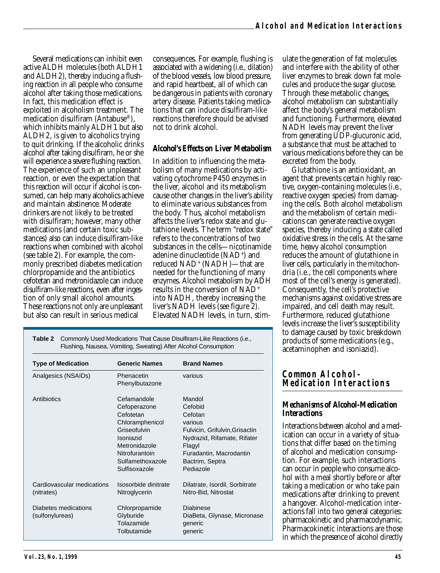Several medications can inhibit even active ALDH molecules (both ALDH1 and ALDH2), thereby inducing a flushing reaction in all people who consume alcohol after taking those medications. In fact, this medication effect is exploited in alcoholism treatment. The medication disulfiram (Antabuse®), which inhibits mainly ALDH1 but also ALDH2, is given to alcoholics trying to quit drinking. If the alcoholic drinks alcohol after taking disulfiram, he or she will experience a severe flushing reaction. The experience of such an unpleasant reaction, or even the expectation that this reaction will occur if alcohol is consumed, can help many alcoholics achieve and maintain abstinence. Moderate drinkers are not likely to be treated with disulfiram; however, many other medications (and certain toxic substances) also can induce disulfiram-like reactions when combined with alcohol (see table 2). For example, the commonly prescribed diabetes medication chlorpropamide and the antibiotics cefotetan and metronidazole can induce disulfiram-like reactions, even after ingestion of only small alcohol amounts. These reactions not only are unpleasant but also can result in serious medical

consequences. For example, flushing is associated with a widening (i.e., dilation) of the blood vessels, low blood pressure, and rapid heartbeat, all of which can be dangerous in patients with coronary artery disease. Patients taking medications that can induce disulfiram-like reactions therefore should be advised not to drink alcohol.

#### *Alcohol's Effects on Liver Metabolism*

In addition to influencing the metabolism of many medications by activating cytochrome P450 enzymes in the liver, alcohol and its metabolism cause other changes in the liver's ability to eliminate various substances from the body. Thus, alcohol metabolism affects the liver's redox state and glutathione levels. The term "redox state" refers to the concentrations of two substances in the cells—nicotinamide adenine dinucleotide (NAD+) and reduced NAD+ (NADH)—that are needed for the functioning of many enzymes. Alcohol metabolism by ADH results in the conversion of NAD+ into NADH, thereby increasing the liver's NADH levels (see figure 2). Elevated NADH levels, in turn, stim-

ulate the generation of fat molecules and interfere with the ability of other liver enzymes to break down fat molecules and produce the sugar glucose. Through these metabolic changes, alcohol metabolism can substantially affect the body's general metabolism and functioning. Furthermore, elevated NADH levels may prevent the liver from generating UDP-glucuronic acid, a substance that must be attached to various medications before they can be excreted from the body.

Glutathione is an antioxidant, an agent that prevents certain highly reactive, oxygen-containing molecules (i.e., reactive oxygen species) from damaging the cells. Both alcohol metabolism and the metabolism of certain medications can generate reactive oxygen species, thereby inducing a state called oxidative stress in the cells. At the same time, heavy alcohol consumption reduces the amount of glutathione in liver cells, particularly in the mitochondria (i.e., the cell components where most of the cell's energy is generated). Consequently, the cell's protective mechanisms against oxidative stress are impaired, and cell death may result. Furthermore, reduced glutathione levels increase the liver's susceptibility to damage caused by toxic breakdown products of some medications (e.g., acetaminophen and isoniazid).

**Table 2** Commonly Used Medications That Cause Disulfiram-Like Reactions (i.e., Flushing, Nausea, Vomiting, Sweating) After Alcohol Consumption

| <b>Type of Medication</b>                | <b>Generic Names</b>                                                                                                                                             | <b>Brand Names</b>                                                                                                                                                            |
|------------------------------------------|------------------------------------------------------------------------------------------------------------------------------------------------------------------|-------------------------------------------------------------------------------------------------------------------------------------------------------------------------------|
| Analgesics (NSAIDs)                      | Phenacetin<br>Phenylbutazone                                                                                                                                     | various                                                                                                                                                                       |
| Antibiotics                              | Cefamandole<br>Cefoperazone<br>Cefotetan<br>Chloramphenicol<br>Griseofulvin<br>Isoniazid<br>Metronidazole<br>Nitrofurantoin<br>Sulfamethoxazole<br>Sulfisoxazole | Mandol<br>Cefobid<br>Cefotan<br>various<br>Fulvicin, Grifulvin, Grisactin<br>Nydrazid, Rifamate, Rifater<br>Flagyl<br>Furadantin, Macrodantin<br>Bactrim, Septra<br>Pediazole |
| Cardiovascular medications<br>(nitrates) | Isosorbide dinitrate<br>Nitroglycerin                                                                                                                            | Dilatrate, Isordil, Sorbitrate<br>Nitro-Bid, Nitrostat                                                                                                                        |
| Diabetes medications<br>(sulfonylureas)  | Chlorpropamide<br>Glyburide<br>Tolazamide<br>Tolbutamide                                                                                                         | Diabinese<br>DiaBeta, Glynase, Micronase<br>generic<br>generic                                                                                                                |

#### **Common Alcohol-Medication Interactions**

#### *Mechanisms of Alcohol-Medication Interactions*

Interactions between alcohol and a medication can occur in a variety of situations that differ based on the timing of alcohol and medication consumption. For example, such interactions can occur in people who consume alcohol with a meal shortly before or after taking a medication or who take pain medications after drinking to prevent a hangover. Alcohol-medication interactions fall into two general categories: pharmacokinetic and pharmacodynamic. Pharmacokinetic interactions are those in which the presence of alcohol directly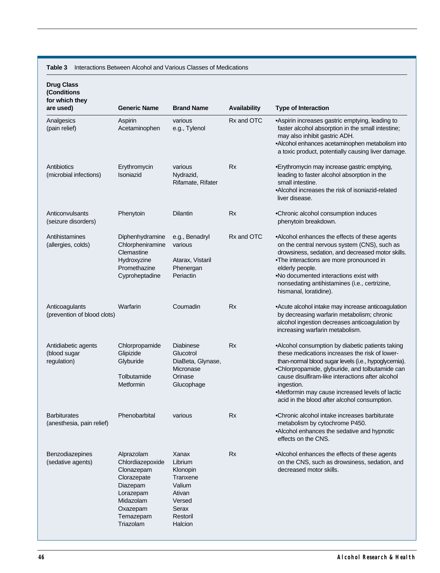**Table 3** Interactions Between Alcohol and Various Classes of Medications

| <b>Drug Class</b><br>(Conditions<br>for which they<br>are used) | <b>Generic Name</b>                                                                                                                     | <b>Brand Name</b>                                                                                      | <b>Availability</b> | <b>Type of Interaction</b>                                                                                                                                                                                                                                                                                                                                                         |
|-----------------------------------------------------------------|-----------------------------------------------------------------------------------------------------------------------------------------|--------------------------------------------------------------------------------------------------------|---------------------|------------------------------------------------------------------------------------------------------------------------------------------------------------------------------------------------------------------------------------------------------------------------------------------------------------------------------------------------------------------------------------|
| Analgesics<br>(pain relief)                                     | Aspirin<br>Acetaminophen                                                                                                                | various<br>e.g., Tylenol                                                                               | Rx and OTC          | •Aspirin increases gastric emptying, leading to<br>faster alcohol absorption in the small intestine;<br>may also inhibit gastric ADH.<br>•Alcohol enhances acetaminophen metabolism into<br>a toxic product, potentially causing liver damage.                                                                                                                                     |
| Antibiotics<br>(microbial infections)                           | Erythromycin<br>Isoniazid                                                                                                               | various<br>Nydrazid,<br>Rifamate, Rifater                                                              | <b>Rx</b>           | • Erythromycin may increase gastric emptying,<br>leading to faster alcohol absorption in the<br>small intestine.<br>•Alcohol increases the risk of isoniazid-related<br>liver disease.                                                                                                                                                                                             |
| Anticonvulsants<br>(seizure disorders)                          | Phenytoin                                                                                                                               | Dilantin                                                                                               | Rx                  | •Chronic alcohol consumption induces<br>phenytoin breakdown.                                                                                                                                                                                                                                                                                                                       |
| Antihistamines<br>(allergies, colds)                            | Diphenhydramine<br>Chlorpheniramine<br>Clemastine<br>Hydroxyzine<br>Promethazine<br>Cyproheptadine                                      | e.g., Benadryl<br>various<br>Atarax, Vistaril<br>Phenergan<br>Periactin                                | Rx and OTC          | •Alcohol enhances the effects of these agents<br>on the central nervous system (CNS), such as<br>drowsiness, sedation, and decreased motor skills.<br>.The interactions are more pronounced in<br>elderly people.<br>.No documented interactions exist with<br>nonsedating antihistamines (i.e., certrizine,<br>hismanal, loratidine).                                             |
| Anticoagulants<br>(prevention of blood clots)                   | Warfarin                                                                                                                                | Coumadin                                                                                               | Rx                  | • Acute alcohol intake may increase anticoagulation<br>by decreasing warfarin metabolism; chronic<br>alcohol ingestion decreases anticoagulation by<br>increasing warfarin metabolism.                                                                                                                                                                                             |
| Antidiabetic agents<br>(blood sugar<br>regulation)              | Chlorpropamide<br>Glipizide<br>Glyburide<br>Tolbutamide<br>Metformin                                                                    | <b>Diabinese</b><br>Glucotrol<br>DiaBeta, Glynase,<br>Micronase<br>Orinase<br>Glucophage               | Rx                  | •Alcohol consumption by diabetic patients taking<br>these medications increases the risk of lower-<br>than-normal blood sugar levels (i.e., hypoglycemia).<br>.Chlorpropamide, glyburide, and tolbutamide can<br>cause disulfiram-like interactions after alcohol<br>ingestion.<br>•Metformin may cause increased levels of lactic<br>acid in the blood after alcohol consumption. |
| <b>Barbiturates</b><br>(anesthesia, pain relief)                | Phenobarbital                                                                                                                           | various                                                                                                | Rx                  | •Chronic alcohol intake increases barbiturate<br>metabolism by cytochrome P450.<br>•Alcohol enhances the sedative and hypnotic<br>effects on the CNS.                                                                                                                                                                                                                              |
| Benzodiazepines<br>(sedative agents)                            | Alprazolam<br>Chlordiazepoxide<br>Clonazepam<br>Clorazepate<br>Diazepam<br>Lorazepam<br>Midazolam<br>Oxazepam<br>Temazepam<br>Triazolam | Xanax<br>Librium<br>Klonopin<br>Tranxene<br>Valium<br>Ativan<br>Versed<br>Serax<br>Restoril<br>Halcion | Rx                  | •Alcohol enhances the effects of these agents<br>on the CNS, such as drowsiness, sedation, and<br>decreased motor skills.                                                                                                                                                                                                                                                          |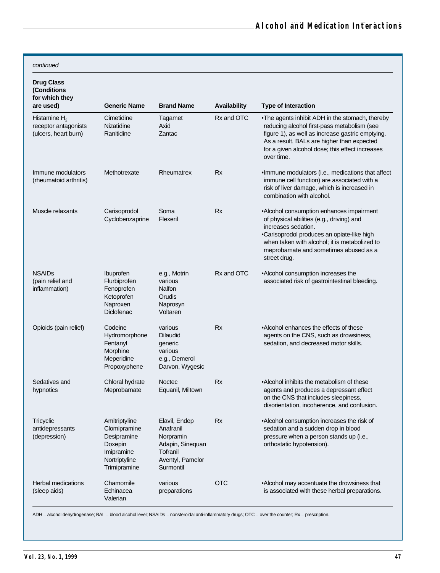continued

| <b>Drug Class</b><br>(Conditions<br>for which they<br>are used) | <b>Generic Name</b>                                                                                    | <b>Brand Name</b>                                                                                        | Availability | <b>Type of Interaction</b>                                                                                                                                                                                                                                           |
|-----------------------------------------------------------------|--------------------------------------------------------------------------------------------------------|----------------------------------------------------------------------------------------------------------|--------------|----------------------------------------------------------------------------------------------------------------------------------------------------------------------------------------------------------------------------------------------------------------------|
| Histamine $H_2$<br>receptor antagonists<br>(ulcers, heart burn) | Cimetidine<br>Nizatidine<br>Ranitidine                                                                 | Tagamet<br>Axid<br>Zantac                                                                                | Rx and OTC   | •The agents inhibit ADH in the stomach, thereby<br>reducing alcohol first-pass metabolism (see<br>figure 1), as well as increase gastric emptying.<br>As a result, BALs are higher than expected<br>for a given alcohol dose; this effect increases<br>over time.    |
| Immune modulators<br>(rheumatoid arthritis)                     | Methotrexate                                                                                           | Rheumatrex                                                                                               | <b>Rx</b>    | .Immune modulators (i.e., medications that affect<br>immune cell function) are associated with a<br>risk of liver damage, which is increased in<br>combination with alcohol.                                                                                         |
| Muscle relaxants                                                | Carisoprodol<br>Cyclobenzaprine                                                                        | Soma<br>Flexeril                                                                                         | <b>Rx</b>    | •Alcohol consumption enhances impairment<br>of physical abilities (e.g., driving) and<br>increases sedation.<br>•Carisoprodol produces an opiate-like high<br>when taken with alcohol; it is metabolized to<br>meprobamate and sometimes abused as a<br>street drug. |
| <b>NSAIDs</b><br>(pain relief and<br>inflammation)              | <b>Ibuprofen</b><br>Flurbiprofen<br>Fenoprofen<br>Ketoprofen<br>Naproxen<br>Diclofenac                 | e.g., Motrin<br>various<br>Nalfon<br>Orudis<br>Naprosyn<br>Voltaren                                      | Rx and OTC   | •Alcohol consumption increases the<br>associated risk of gastrointestinal bleeding.                                                                                                                                                                                  |
| Opioids (pain relief)                                           | Codeine<br>Hydromorphone<br>Fentanyl<br>Morphine<br>Meperidine<br>Propoxyphene                         | various<br><b>Dilaudid</b><br>generic<br>various<br>e.g., Demerol<br>Darvon, Wygesic                     | <b>Rx</b>    | •Alcohol enhances the effects of these<br>agents on the CNS, such as drowsiness,<br>sedation, and decreased motor skills.                                                                                                                                            |
| Sedatives and<br>hypnotics                                      | Chloral hydrate<br>Meprobamate                                                                         | <b>Noctec</b><br>Equanil, Miltown                                                                        | Rx           | •Alcohol inhibits the metabolism of these<br>agents and produces a depressant effect<br>on the CNS that includes sleepiness,<br>disorientation, incoherence, and confusion.                                                                                          |
| Tricyclic<br>antidepressants<br>(depression)                    | Amitriptyline<br>Clomipramine<br>Desipramine<br>Doxepin<br>Imipramine<br>Nortriptyline<br>Trimipramine | Elavil, Endep<br>Anafranil<br>Norpramin<br>Adapin, Sinequan<br>Tofranil<br>Aventyl, Pamelor<br>Surmontil | Rx           | •Alcohol consumption increases the risk of<br>sedation and a sudden drop in blood<br>pressure when a person stands up (i.e.,<br>orthostatic hypotension).                                                                                                            |
| <b>Herbal medications</b><br>(sleep aids)                       | Chamomile<br>Echinacea<br>Valerian                                                                     | various<br>preparations                                                                                  | <b>OTC</b>   | •Alcohol may accentuate the drowsiness that<br>is associated with these herbal preparations.                                                                                                                                                                         |

ADH = alcohol dehydrogenase; BAL = blood alcohol level; NSAIDs = nonsteroidal anti-inflammatory drugs; OTC = over the counter; Rx = prescription.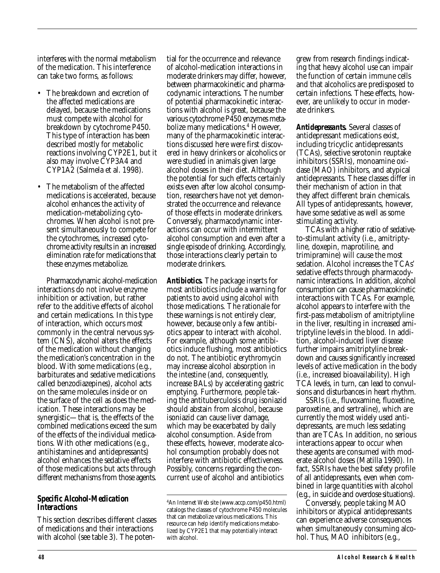interferes with the normal metabolism of the medication. This interference can take two forms, as follows:

- The breakdown and excretion of the affected medications are delayed, because the medications must compete with alcohol for breakdown by cytochrome P450. This type of interaction has been described mostly for metabolic reactions involving CYP2E1, but it also may involve CYP3A4 and CYP1A2 (Salmela et al. 1998).
- The metabolism of the affected medications is accelerated, because alcohol enhances the activity of medication-metabolizing cytochromes. When alcohol is not present simultaneously to compete for the cytochromes, increased cytochrome activity results in an increased elimination rate for medications that these enzymes metabolize.

Pharmacodynamic alcohol-medication interactions do not involve enzyme inhibition or activation, but rather refer to the additive effects of alcohol and certain medications. In this type of interaction, which occurs most commonly in the central nervous system (CNS), alcohol alters the effects of the medication without changing the medication's concentration in the blood. With some medications (e.g., barbiturates and sedative medications called benzodiazepines), alcohol acts on the same molecules inside or on the surface of the cell as does the medication. These interactions may be synergistic—that is, the effects of the combined medications exceed the sum of the effects of the individual medications. With other medications (e.g., antihistamines and antidepressants) alcohol enhances the sedative effects of those medications but acts through different mechanisms from those agents.

#### *Specific Alcohol-Medication Interactions*

This section describes different classes of medications and their interactions with alcohol (see table 3). The potential for the occurrence and relevance of alcohol-medication interactions in moderate drinkers may differ, however, between pharmacokinetic and pharmacodynamic interactions. The number of potential pharmacokinetic interactions with alcohol is great, because the various cytochrome P450 enzymes metabolize many medications.<sup>4</sup> However, many of the pharmacokinetic interactions discussed here were first discovered in heavy drinkers or alcoholics or were studied in animals given large alcohol doses in their diet. Although the potential for such effects certainly exists even after low alcohol consumption, researchers have not yet demonstrated the occurrence and relevance of those effects in moderate drinkers. Conversely, pharmacodynamic interactions can occur with intermittent alcohol consumption and even after a single episode of drinking. Accordingly, those interactions clearly pertain to moderate drinkers.

*Antibiotics.* The package inserts for most antibiotics include a warning for patients to avoid using alcohol with those medications. The rationale for these warnings is not entirely clear, however, because only a few antibiotics appear to interact with alcohol. For example, although some antibiotics induce flushing, most antibiotics do not. The antibiotic erythromycin may increase alcohol absorption in the intestine (and, consequently, increase BALs) by accelerating gastric emptying. Furthermore, people taking the antituberculosis drug isoniazid should abstain from alcohol, because isoniazid can cause liver damage, which may be exacerbated by daily alcohol consumption. Aside from these effects, however, moderate alcohol consumption probably does not interfere with antibiotic effectiveness. Possibly, concerns regarding the concurrent use of alcohol and antibiotics

grew from research findings indicating that heavy alcohol use can impair the function of certain immune cells and that alcoholics are predisposed to certain infections. These effects, however, are unlikely to occur in moderate drinkers.

*Antidepressants.* Several classes of antidepressant medications exist, including tricyclic antidepressants (TCAs), selective serotonin reuptake inhibitors (SSRIs), monoamine oxidase (MAO) inhibitors, and atypical antidepressants. These classes differ in their mechanism of action in that they affect different brain chemicals. All types of antidepressants, however, have some sedative as well as some stimulating activity.

TCAs with a higher ratio of sedativeto-stimulant activity (i.e., amitriptyline, doxepin, maprotiline, and trimipramine) will cause the most sedation. Alcohol increases the TCAs' sedative effects through pharmacodynamic interactions. In addition, alcohol consumption can cause pharmacokinetic interactions with TCAs. For example, alcohol appears to interfere with the first-pass metabolism of amitriptyline in the liver, resulting in increased amitriptyline levels in the blood*.* In addition, alcohol-induced liver disease further impairs amitriptyline breakdown and causes significantly increased levels of active medication in the body (i.e., increased bioavailability). High TCA levels, in turn, can lead to convulsions and disturbances in heart rhythm.

SSRIs (i.e., fluvoxamine, fluoxetine, paroxetine, and sertraline), which are currently the most widely used antidepressants, are much less sedating than are TCAs. In addition, no serious interactions appear to occur when these agents are consumed with moderate alcohol doses (Matilla 1990). In fact, SSRIs have the best safety profile of all antidepressants, even when combined in large quantities with alcohol (e.g., in suicide and overdose situations).

Conversely, people taking MAO inhibitors or atypical antidepressants can experience adverse consequences when simultaneously consuming alcohol. Thus, MAO inhibitors (e.g.,

<sup>4</sup> An Internet Web site (www.accp.com/p450.html) catalogs the classes of cytochrome P450 molecules that can metabolize various medications. This resource can help identify medications metabolized by CYP2E1 that may potentially interact with alcohol.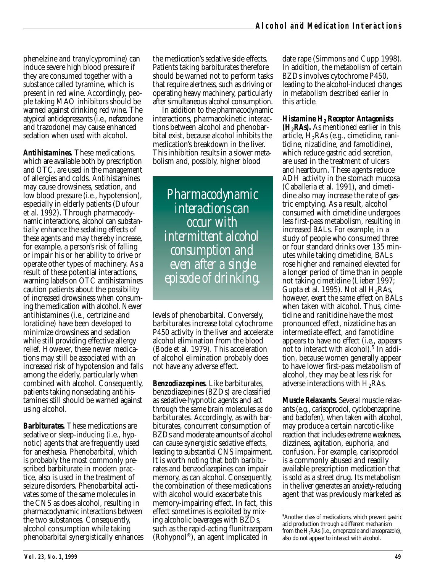phenelzine and tranylcypromine) can induce severe high blood pressure if they are consumed together with a substance called tyramine, which is present in red wine. Accordingly, people taking MAO inhibitors should be warned against drinking red wine. The atypical antidepressants (i.e., nefazodone and trazodone) may cause enhanced sedation when used with alcohol.

*Antihistamines.* These medications, which are available both by prescription and OTC, are used in the management of allergies and colds. Antihistamines may cause drowsiness, sedation, and low blood pressure (i.e., hypotension), especially in elderly patients (Dufour et al. 1992). Through pharmacodynamic interactions, alcohol can substantially enhance the sedating effects of these agents and may thereby increase, for example, a person's risk of falling or impair his or her ability to drive or operate other types of machinery. As a result of these potential interactions, warning labels on OTC antihistamines caution patients about the possibility of increased drowsiness when consuming the medication with alcohol. Newer antihistamines (i.e., certrizine and loratidine) have been developed to minimize drowsiness and sedation while still providing effective allergy relief. However, these newer medications may still be associated with an increased risk of hypotension and falls among the elderly, particularly when combined with alcohol. Consequently, patients taking nonsedating antihistamines still should be warned against using alcohol.

*Barbiturates.* These medications are sedative or sleep-inducing (i.e., hypnotic) agents that are frequently used for anesthesia. Phenobarbital, which is probably the most commonly prescribed barbiturate in modern practice, also is used in the treatment of seizure disorders. Phenobarbital activates some of the same molecules in the CNS as does alcohol, resulting in pharmacodynamic interactions between the two substances. Consequently, alcohol consumption while taking phenobarbital synergistically enhances the medication's sedative side effects. Patients taking barbiturates therefore should be warned not to perform tasks that require alertness, such as driving or operating heavy machinery, particularly after simultaneous alcohol consumption.

In addition to the pharmacodynamic interactions, pharmacokinetic interactions between alcohol and phenobarbital exist, because alcohol inhibits the medication's breakdown in the liver. This inhibition results in a slower metabolism and, possibly, higher blood

*Pharmacodynamic interactions can occur with intermittent alcohol consumption and even after a single episode of drinking.*

levels of phenobarbital. Conversely, barbiturates increase total cytochrome P450 activity in the liver and accelerate alcohol elimination from the blood (Bode et al. 1979). This acceleration of alcohol elimination probably does not have any adverse effect.

*Benzodiazepines.* Like barbiturates, benzodiazepines (BZDs) are classified as sedative-hypnotic agents and act through the same brain molecules as do barbiturates. Accordingly, as with barbiturates, concurrent consumption of BZDs and moderate amounts of alcohol can cause synergistic sedative effects, leading to substantial CNS impairment. It is worth noting that both barbiturates and benzodiazepines can impair memory, as can alcohol. Consequently, the combination of these medications with alcohol would exacerbate this memory-impairing effect. In fact, this effect sometimes is exploited by mixing alcoholic beverages with BZDs, such as the rapid-acting flunitrazepam (Rohypnol®), an agent implicated in

date rape (Simmons and Cupp 1998). In addition, the metabolism of certain BZDs involves cytochrome P450, leading to the alcohol-induced changes in metabolism described earlier in this article.

*Histamine H2 Receptor Antagonists (H2RAs).* As mentioned earlier in this article,  $H_2RAs$  (e.g., cimetidine, ranitidine, nizatidine, and famotidine), which reduce gastric acid secretion, are used in the treatment of ulcers and heartburn. These agents reduce ADH activity in the stomach mucosa (Caballeria et al. 1991), and cimetidine also may increase the rate of gastric emptying. As a result, alcohol consumed with cimetidine undergoes less first-pass metabolism, resulting in increased BALs. For example, in a study of people who consumed three or four standard drinks over 135 minutes while taking cimetidine, BALs rose higher and remained elevated for a longer period of time than in people not taking cimetidine (Lieber 1997; Gupta et al. 1995). Not all  $H_2RAs$ , however, exert the same effect on BALs when taken with alcohol. Thus, cimetidine and ranitidine have the most pronounced effect, nizatidine has an intermediate effect, and famotidine appears to have no effect (i.e., appears not to interact with alcohol).<sup>5</sup> In addition, because women generally appear to have lower first-pass metabolism of alcohol, they may be at less risk for adverse interactions with  $H_2RAs$ .

*Muscle Relaxants.* Several muscle relaxants (e.g., carisoprodol, cyclobenzaprine, and baclofen), when taken with alcohol, may produce a certain narcotic-like reaction that includes extreme weakness, dizziness, agitation, euphoria, and confusion. For example, carisoprodol is a commonly abused and readily available prescription medication that is sold as a street drug. Its metabolism in the liver generates an anxiety-reducing agent that was previously marketed as

<sup>5</sup> Another class of medications, which prevent gastric acid production through a different mechanism from the  $H_2RAs$  (i.e., omeprazole and lansoprazole), also do not appear to interact with alcohol.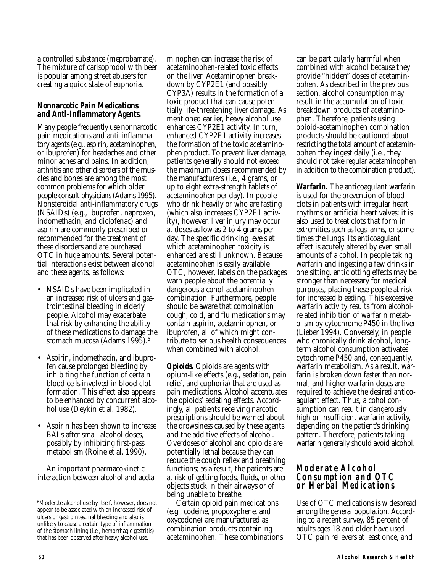a controlled substance (meprobamate). The mixture of carisoprodol with beer is popular among street abusers for creating a quick state of euphoria.

#### *Nonnarcotic Pain Medications and Anti-Inflammatory Agents.*

Many people frequently use nonnarcotic pain medications and anti-inflammatory agents (e.g., aspirin, acetaminophen, or ibuprofen) for headaches and other minor aches and pains. In addition, arthritis and other disorders of the muscles and bones are among the most common problems for which older people consult physicians (Adams 1995). Nonsteroidal anti-inflammatory drugs (NSAIDs) (e.g., ibuprofen, naproxen, indomethacin, and diclofenac) and aspirin are commonly prescribed or recommended for the treatment of these disorders and are purchased OTC in huge amounts. Several potential interactions exist between alcohol and these agents, as follows:

- NSAIDs have been implicated in an increased risk of ulcers and gastrointestinal bleeding in elderly people. Alcohol may exacerbate that risk by enhancing the ability of these medications to damage the stomach mucosa (Adams 1995).<sup>6</sup>
- Aspirin, indomethacin, and ibuprofen cause prolonged bleeding by inhibiting the function of certain blood cells involved in blood clot formation. This effect also appears to be enhanced by concurrent alcohol use (Deykin et al. 1982).
- Aspirin has been shown to increase BALs after small alcohol doses, possibly by inhibiting first-pass metabolism (Roine et al. 1990).

An important pharmacokinetic interaction between alcohol and aceta-

minophen can increase the risk of acetaminophen-related toxic effects on the liver. Acetaminophen breakdown by CYP2E1 (and possibly CYP3A) results in the formation of a toxic product that can cause potentially life-threatening liver damage. As mentioned earlier, heavy alcohol use enhances CYP2E1 activity. In turn, enhanced CYP2E1 activity increases the formation of the toxic acetaminophen product. To prevent liver damage, patients generally should not exceed the maximum doses recommended by the manufacturers (i.e., 4 grams, or up to eight extra-strength tablets of acetaminophen per day). In people who drink heavily or who are fasting (which also increases CYP2E1 activity), however, liver injury may occur at doses as low as 2 to 4 grams per day. The specific drinking levels at which acetaminophen toxicity is enhanced are still unknown. Because acetaminophen is easily available OTC, however, labels on the packages warn people about the potentially dangerous alcohol-acetaminophen combination. Furthermore, people should be aware that combination cough, cold, and flu medications may contain aspirin, acetaminophen, or ibuprofen, all of which might contribute to serious health consequences when combined with alcohol.

*Opioids.* Opioids are agents with opium-like effects (e.g., sedation, pain relief, and euphoria) that are used as pain medications. Alcohol accentuates the opioids' sedating effects. Accordingly, all patients receiving narcotic prescriptions should be warned about the drowsiness caused by these agents and the additive effects of alcohol. Overdoses of alcohol and opioids are potentially lethal because they can reduce the cough reflex and breathing functions; as a result, the patients are at risk of getting foods, fluids, or other objects stuck in their airways or of being unable to breathe.

Certain opioid pain medications (e.g., codeine, propoxyphene, and oxycodone) are manufactured as combination products containing acetaminophen. These combinations can be particularly harmful when combined with alcohol because they provide "hidden" doses of acetaminophen. As described in the previous section, alcohol consumption may result in the accumulation of toxic breakdown products of acetaminophen. Therefore, patients using opioid-acetaminophen combination products should be cautioned about restricting the total amount of acetaminophen they ingest daily (i.e., they should not take regular acetaminophen in addition to the combination product).

*Warfarin.* The anticoagulant warfarin is used for the prevention of blood clots in patients with irregular heart rhythms or artificial heart valves; it is also used to treat clots that form in extremities such as legs, arms, or sometimes the lungs. Its anticoagulant effect is acutely altered by even small amounts of alcohol. In people taking warfarin and ingesting a few drinks in one sitting, anticlotting effects may be stronger than necessary for medical purposes, placing these people at risk for increased bleeding. This excessive warfarin activity results from alcoholrelated inhibition of warfarin metabolism by cytochrome P450 in the liver (Lieber 1994). Conversely, in people who chronically drink alcohol, longterm alcohol consumption activates cytochrome P450 and, consequently, warfarin metabolism. As a result, warfarin is broken down faster than normal, and higher warfarin doses are required to achieve the desired anticoagulant effect. Thus, alcohol consumption can result in dangerously high or insufficient warfarin activity, depending on the patient's drinking pattern. Therefore, patients taking warfarin generally should avoid alcohol.

#### **Moderate Alcohol Consumption and OTC or Herbal Medications**

Use of OTC medications is widespread among the general population. According to a recent survey, 85 percent of adults ages 18 and older have used OTC pain relievers at least once, and

<sup>6</sup> Moderate alcohol use by itself, however, does not appear to be associated with an increased risk of ulcers or gastrointestinal bleeding and also is unlikely to cause a certain type of inflammation of the stomach lining (i.e., hemorrhagic gastritis) that has been observed after heavy alcohol use.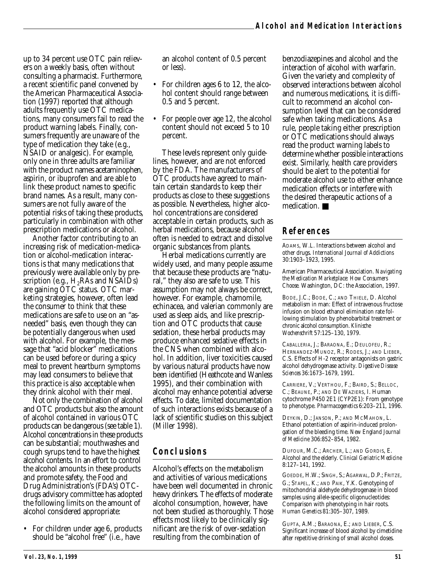up to 34 percent use OTC pain relievers on a weekly basis, often without consulting a pharmacist. Furthermore, a recent scientific panel convened by the American Pharmaceutical Association (1997) reported that although adults frequently use OTC medications, many consumers fail to read the product warning labels. Finally, consumers frequently are unaware of the type of medication they take (e.g., NSAID or analgesic). For example, only one in three adults are familiar with the product names acetaminophen, aspirin, or ibuprofen and are able to link these product names to specific brand names. As a result, many consumers are not fully aware of the potential risks of taking these products, particularly in combination with other prescription medications or alcohol.

Another factor contributing to an increasing risk of medication-medication or alcohol-medication interactions is that many medications that previously were available only by prescription (e.g.,  $H_2RAs$  and NSAIDs) are gaining OTC status. OTC marketing strategies, however, often lead the consumer to think that these medications are safe to use on an "asneeded" basis, even though they can be potentially dangerous when used with alcohol. For example, the message that "acid blocker" medications can be used before or during a spicy meal to prevent heartburn symptoms may lead consumers to believe that this practice is also acceptable when they drink alcohol with their meal.

Not only the combination of alcohol and OTC products but also the amount of alcohol contained in various OTC products can be dangerous (see table 1). Alcohol concentrations in these products can be substantial; mouthwashes and cough syrups tend to have the highest alcohol contents. In an effort to control the alcohol amounts in these products and promote safety, the Food and Drug Administration's (FDA's) OTCdrugs advisory committee has adopted the following limits on the amount of alcohol considered appropriate:

• For children under age 6, products should be "alcohol free" (i.e., have

an alcohol content of 0.5 percent or less).

- For children ages 6 to 12, the alcohol content should range between 0.5 and 5 percent.
- For people over age 12, the alcohol content should not exceed 5 to 10 percent.

These levels represent only guidelines, however, and are not enforced by the FDA. The manufacturers of OTC products have agreed to maintain certain standards to keep their products as close to these suggestions as possible. Nevertheless, higher alcohol concentrations are considered acceptable in certain products, such as herbal medications, because alcohol often is needed to extract and dissolve organic substances from plants.

Herbal medications currently are widely used, and many people assume that because these products are "natural," they also are safe to use. This assumption may not always be correct, however. For example, chamomile, echinacea, and valerian commonly are used as sleep aids, and like prescription and OTC products that cause sedation, these herbal products may produce enhanced sedative effects in the CNS when combined with alcohol. In addition, liver toxicities caused by various natural products have now been identified (Heathcote and Wanless 1995), and their combination with alcohol may enhance potential adverse effects. To date, limited documentation of such interactions exists because of a lack of scientific studies on this subject (Miller 1998).

# **Conclusions**

Alcohol's effects on the metabolism and activities of various medications have been well documented in chronic heavy drinkers. The effects of moderate alcohol consumption, however, have not been studied as thoroughly. Those effects most likely to be clinically significant are the risk of over-sedation resulting from the combination of

benzodiazepines and alcohol and the interaction of alcohol with warfarin. Given the variety and complexity of observed interactions between alcohol and numerous medications, it is difficult to recommend an alcohol consumption level that can be considered safe when taking medications. As a rule, people taking either prescription or OTC medications should always read the product warning labels to determine whether possible interactions exist. Similarly, health care providers should be alert to the potential for moderate alcohol use to either enhance medication effects or interfere with the desired therapeutic actions of a medication. ■

# **References**

ADAMS, W.L. Interactions between alcohol and other drugs. *International Journal of Addictions* 30:1903–1923, 1995.

American Pharmaceutical Association. *Navigating the Medication Marketplace: How Consumers Choose.* Washington, DC: the Association, 1997.

BODE, J.C.; BODE, C.; AND THIELE, D. Alcohol metabolism in man: Effect of intravenous fructose infusion on blood ethanol elimination rate following stimulation by phenobarbital treatment or chronic alcohol consumption. *Klinische Wochenschrift* 57:125–130, 1979.

CABALLERIA, J.; BARAONA, E.; DEULOFEU, R.; HERNANDEZ-MUNOZ, R.; RODES, J.; AND LIEBER, C.S. Effects of H-2 receptor antagonists on gastric alcohol dehydrogenase activity. *Digestive Disease Sciences* 36:1673–1679, 1991.

CARRIERE, V.; VERTHOU, F.; BAIRD, S.; BELLOC, C.; BEAUNE, P.; AND DE WAZIERS, I. Human cytochrome P450 2E1 (CYP2E1): From genotype to phenotype. *Pharmacogenetics* 6:203–211, 1996.

DEYKIN, D.; JANSON, P.; AND MCMAHON, L. Ethanol potentiation of aspirin-induced prolongation of the bleeding time. *New England Journal of Medicine* 306:852–854, 1982.

DUFOUR, M.C.; ARCHER, L.; AND GORDIS, E. Alcohol and the elderly. *Clinical Geriatric Medicine* 8:127–141, 1992.

GOEDDE, H.W.; SINGH, S.; AGARWAL, D.P.; FRITZE, G.; STAPEL, K.; AND PAIK, Y.K. Genotyping of mitochondrial aldehyde dehydrogenase in blood samples using allele-specific oligonucleotides: Comparison with phenotyping in hair roots. *Human Genetics* 81:305–307, 1989.

GUPTA, A.M.; BARAONA, E.; AND LIEBER, C.S. Significant increase of blood alcohol by cimetidine after repetitive drinking of small alcohol doses.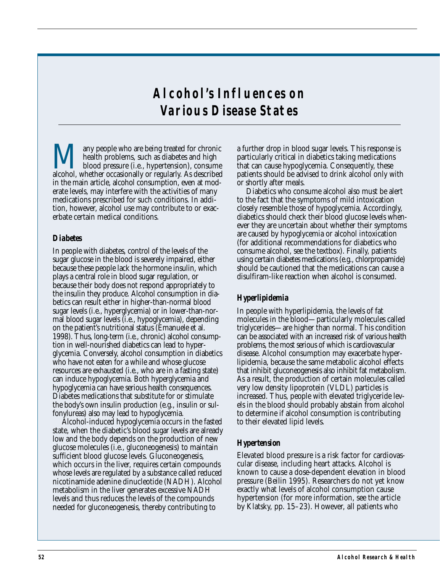# **Alcohol's Influences on Various Disease States**

Many people who are being treated for chronic<br>health problems, such as diabetes and high<br>alcohol, whether occasionally or regularly. As described health problems, such as diabetes and high blood pressure (i.e., hypertension), consume alcohol, whether occasionally or regularly. As described in the main article, alcohol consumption, even at moderate levels, may interfere with the activities of many medications prescribed for such conditions. In addition, however, alcohol use may contribute to or exacerbate certain medical conditions.

#### *Diabetes*

In people with diabetes, control of the levels of the sugar glucose in the blood is severely impaired, either because these people lack the hormone insulin, which plays a central role in blood sugar regulation, or because their body does not respond appropriately to the insulin they produce. Alcohol consumption in diabetics can result either in higher-than-normal blood sugar levels (i.e., hyperglycemia) or in lower-than-normal blood sugar levels (i.e., hypoglycemia), depending on the patient's nutritional status (Emanuele et al. 1998). Thus, long-term (i.e., chronic) alcohol consumption in well-nourished diabetics can lead to hyperglycemia. Conversely, alcohol consumption in diabetics who have not eaten for a while and whose glucose resources are exhausted (i.e., who are in a fasting state) can induce hypoglycemia. Both hyperglycemia and hypoglycemia can have serious health consequences. Diabetes medications that substitute for or stimulate the body's own insulin production (e.g., insulin or sulfonylureas) also may lead to hypoglycemia.

Alcohol-induced hypoglycemia occurs in the fasted state, when the diabetic's blood sugar levels are already low and the body depends on the production of new glucose molecules (i.e., gluconeogenesis) to maintain sufficient blood glucose levels. Gluconeogenesis, which occurs in the liver, requires certain compounds whose levels are regulated by a substance called reduced nicotinamide adenine dinucleotide (NADH). Alcohol metabolism in the liver generates excessive NADH levels and thus reduces the levels of the compounds needed for gluconeogenesis, thereby contributing to

a further drop in blood sugar levels. This response is particularly critical in diabetics taking medications that can cause hypoglycemia. Consequently, these patients should be advised to drink alcohol only with or shortly after meals.

Diabetics who consume alcohol also must be alert to the fact that the symptoms of mild intoxication closely resemble those of hypoglycemia. Accordingly, diabetics should check their blood glucose levels whenever they are uncertain about whether their symptoms are caused by hypoglycemia or alcohol intoxication (for additional recommendations for diabetics who consume alcohol, see the textbox). Finally, patients using certain diabetes medications (e.g., chlorpropamide) should be cautioned that the medications can cause a disulfiram-like reaction when alcohol is consumed.

## *Hyperlipidemia*

In people with hyperlipidemia, the levels of fat molecules in the blood—particularly molecules called triglycerides—are higher than normal. This condition can be associated with an increased risk of various health problems, the most serious of which is cardiovascular disease. Alcohol consumption may exacerbate hyperlipidemia, because the same metabolic alcohol effects that inhibit gluconeogenesis also inhibit fat metabolism. As a result, the production of certain molecules called very low density lipoprotein (VLDL) particles is increased. Thus, people with elevated triglyceride levels in the blood should probably abstain from alcohol to determine if alcohol consumption is contributing to their elevated lipid levels.

#### *Hypertension*

Elevated blood pressure is a risk factor for cardiovascular disease, including heart attacks. Alcohol is known to cause a dose-dependent elevation in blood pressure (Beilin 1995). Researchers do not yet know exactly what levels of alcohol consumption cause hypertension (for more information, see the article by Klatsky, pp. 15–23). However, all patients who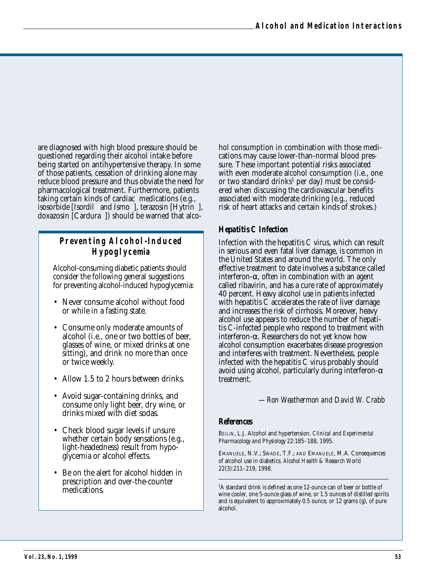are diagnosed with high blood pressure should be questioned regarding their alcohol intake before being started on antihypertensive therapy. In some of those patients, cessation of drinking alone may reduce blood pressure and thus obviate the need for pharmacological treatment. Furthermore, patients taking certain kinds of cardiac medications (e.g., isosorbide [Isordil<sup>®</sup> and Ismo<sup>®</sup>], terazosin [Hytrin<sup>®</sup>], doxazosin [Cardura®]) should be warned that alco-

# **Preventing Alcohol-Induced Hypoglycemia**

Alcohol-consuming diabetic patients should consider the following general suggestions for preventing alcohol-induced hypoglycemia:

- Never consume alcohol without food or while in a fasting state.
- Consume only moderate amounts of alcohol (i.e., one or two bottles of beer, glasses of wine, or mixed drinks at one sitting), and drink no more than once or twice weekly.
- Allow 1.5 to 2 hours between drinks.
- Avoid sugar-containing drinks, and consume only light beer, dry wine, or drinks mixed with diet sodas.
- Check blood sugar levels if unsure whether certain body sensations (e.g., light-headedness) result from hypoglycemia or alcohol effects.
- Be on the alert for alcohol hidden in prescription and over-the-counter medications.

hol consumption in combination with those medications may cause lower-than-normal blood pressure. These important potential risks associated with even moderate alcohol consumption (i.e., one or two standard drinks<sup>1</sup> per day) must be considered when discussing the cardiovascular benefits associated with moderate drinking (e.g., reduced risk of heart attacks and certain kinds of strokes.)

## *Hepatitis C Infection*

Infection with the hepatitis C virus, which can result in serious and even fatal liver damage, is common in the United States and around the world. The only effective treatment to date involves a substance called interferon-α, often in combination with an agent called ribavirin, and has a cure rate of approximately 40 percent. Heavy alcohol use in patients infected with hepatitis C accelerates the rate of liver damage and increases the risk of cirrhosis. Moreover, heavy alcohol use appears to reduce the number of hepatitis C-infected people who respond to treatment with interferon-α. Researchers do not yet know how alcohol consumption exacerbates disease progression and interferes with treatment. Nevertheless, people infected with the hepatitis C virus probably should avoid using alcohol, particularly during interferon- $\alpha$ treatment.

*—Ron Weathermon and David W. Crabb*

#### *References*

BEILIN, L.J. Alcohol and hypertension. *Clinical and Experimental Pharmacology and Physiology* 22:185–188, 1995.

EMANUELE, N.V.; SWADE, T.F.; AND EMANUELE, M.A. Consequences of alcohol use in diabetics. *Alcohol Health & Research World* 22(3):211–219, 1998.

<sup>1</sup>A standard drink is defined as one 12-ounce can of beer or bottle of wine cooler, one 5-ounce glass of wine, or 1.5 ounces of distilled spirits and is equivalent to approximately 0.5 ounce, or 12 grams (g), of pure alcohol.